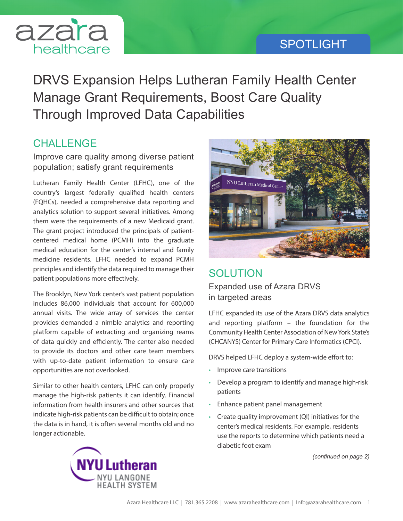## SPOTLIGHT



DRVS Expansion Helps Lutheran Family Health Center Manage Grant Requirements, Boost Care Quality Through Improved Data Capabilities

## **CHALLENGE**

Improve care quality among diverse patient population; satisfy grant requirements

Lutheran Family Health Center (LFHC), one of the country's largest federally qualified health centers (FQHCs), needed a comprehensive data reporting and analytics solution to support several initiatives. Among them were the requirements of a new Medicaid grant. The grant project introduced the principals of patientcentered medical home (PCMH) into the graduate medical education for the center's internal and family medicine residents. LFHC needed to expand PCMH principles and identify the data required to manage their patient populations more effectively.

The Brooklyn, New York center's vast patient population includes 86,000 individuals that account for 600,000 annual visits. The wide array of services the center provides demanded a nimble analytics and reporting platform capable of extracting and organizing reams of data quickly and efficiently. The center also needed to provide its doctors and other care team members with up-to-date patient information to ensure care opportunities are not overlooked.

Similar to other health centers, LFHC can only properly manage the high-risk patients it can identify. Financial information from health insurers and other sources that indicate high-risk patients can be difficult to obtain; once the data is in hand, it is often several months old and no longer actionable.



## **SOLUTION**

Expanded use of Azara DRVS in targeted areas

LFHC expanded its use of the Azara DRVS data analytics and reporting platform – the foundation for the Community Health Center Association of New York State's (CHCANYS) Center for Primary Care Informatics (CPCI).

DRVS helped LFHC deploy a system-wide effort to:

- Improve care transitions
- Develop a program to identify and manage high-risk patients
- Enhance patient panel management
- Create quality improvement (QI) initiatives for the center's medical residents. For example, residents use the reports to determine which patients need a diabetic foot exam

*(continued on page 2)*